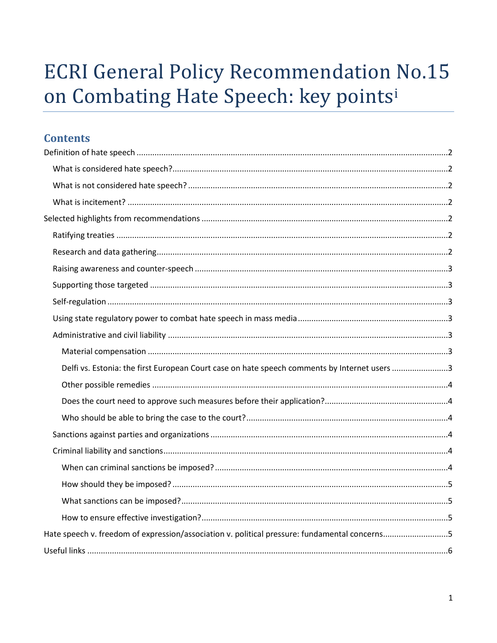# **ECRI General Policy Recommendation No.15** on Combating Hate Speech: key points<sup>i</sup>

## **Contents**

| Delfi vs. Estonia: the first European Court case on hate speech comments by Internet users 3  |  |
|-----------------------------------------------------------------------------------------------|--|
|                                                                                               |  |
|                                                                                               |  |
|                                                                                               |  |
|                                                                                               |  |
|                                                                                               |  |
|                                                                                               |  |
|                                                                                               |  |
|                                                                                               |  |
|                                                                                               |  |
| Hate speech v. freedom of expression/association v. political pressure: fundamental concerns5 |  |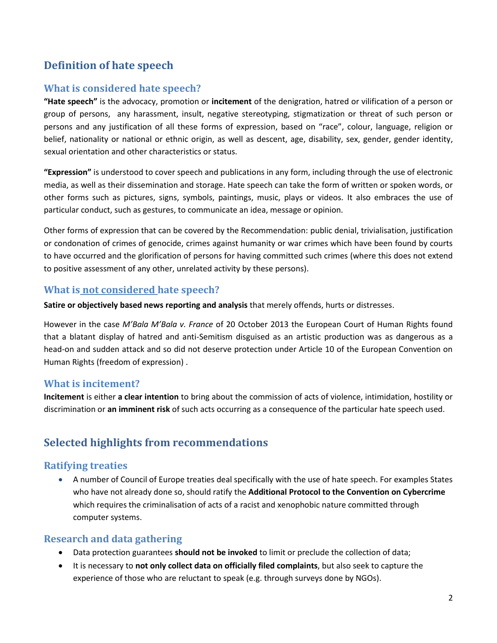## <span id="page-1-0"></span>**Definition of hate speech**

## <span id="page-1-1"></span>**What is considered hate speech?**

**"Hate speech"** is the advocacy, promotion or **incitement** of the denigration, hatred or vilification of a person or group of persons, any harassment, insult, negative stereotyping, stigmatization or threat of such person or persons and any justification of all these forms of expression, based on "race", colour, language, religion or belief, nationality or national or ethnic origin, as well as descent, age, disability, sex, gender, gender identity, sexual orientation and other characteristics or status.

**"Expression"** is understood to cover speech and publications in any form, including through the use of electronic media, as well as their dissemination and storage. Hate speech can take the form of written or spoken words, or other forms such as pictures, signs, symbols, paintings, music, plays or videos. It also embraces the use of particular conduct, such as gestures, to communicate an idea, message or opinion.

Other forms of expression that can be covered by the Recommendation: public denial, trivialisation, justification or condonation of crimes of genocide, crimes against humanity or war crimes which have been found by courts to have occurred and the glorification of persons for having committed such crimes (where this does not extend to positive assessment of any other, unrelated activity by these persons).

## <span id="page-1-2"></span>**What is not considered hate speech?**

**Satire or objectively based news reporting and analysis** that merely offends, hurts or distresses.

However in the case *M'Bala M'Bala v. France* of 20 October 2013 the European Court of Human Rights found that a blatant display of hatred and anti-Semitism disguised as an artistic production was as dangerous as a head-on and sudden attack and so did not deserve protection under Article 10 of the European Convention on Human Rights (freedom of expression) .

## <span id="page-1-3"></span>**What is incitement?**

**Incitement** is either **a clear intention** to bring about the commission of acts of violence, intimidation, hostility or discrimination or **an imminent risk** of such acts occurring as a consequence of the particular hate speech used.

## <span id="page-1-4"></span>**Selected highlights from recommendations**

## <span id="page-1-5"></span>**Ratifying treaties**

 A number of Council of Europe treaties deal specifically with the use of hate speech. For examples States who have not already done so, should ratify the **Additional Protocol to the Convention on Cybercrime** which requires the criminalisation of acts of a racist and xenophobic nature committed through computer systems.

## <span id="page-1-6"></span>**Research and data gathering**

- Data protection guarantees **should not be invoked** to limit or preclude the collection of data;
- It is necessary to **not only collect data on officially filed complaints**, but also seek to capture the experience of those who are reluctant to speak (e.g. through surveys done by NGOs).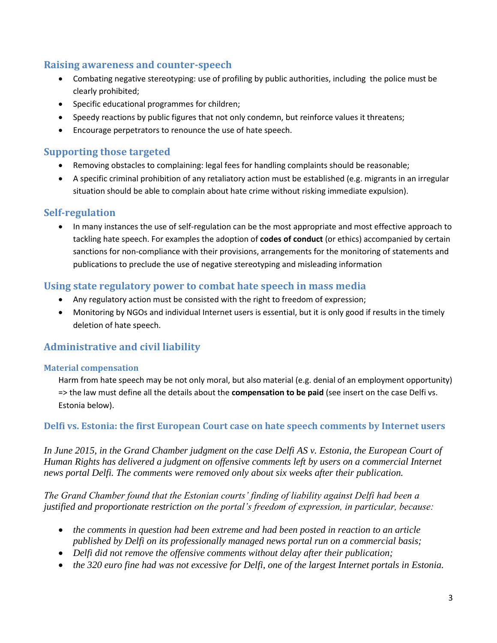## <span id="page-2-0"></span>**Raising awareness and counter-speech**

- Combating negative stereotyping: use of profiling by public authorities, including the police must be clearly prohibited;
- Specific educational programmes for children;
- Speedy reactions by public figures that not only condemn, but reinforce values it threatens;
- Encourage perpetrators to renounce the use of hate speech.

## <span id="page-2-1"></span>**Supporting those targeted**

- Removing obstacles to complaining: legal fees for handling complaints should be reasonable;
- A specific criminal prohibition of any retaliatory action must be established (e.g. migrants in an irregular situation should be able to complain about hate crime without risking immediate expulsion).

## <span id="page-2-2"></span>**Self-regulation**

 In many instances the use of self-regulation can be the most appropriate and most effective approach to tackling hate speech. For examples the adoption of **codes of conduct** (or ethics) accompanied by certain sanctions for non-compliance with their provisions, arrangements for the monitoring of statements and publications to preclude the use of negative stereotyping and misleading information

## <span id="page-2-3"></span>**Using state regulatory power to combat hate speech in mass media**

- Any regulatory action must be consisted with the right to freedom of expression;
- Monitoring by NGOs and individual Internet users is essential, but it is only good if results in the timely deletion of hate speech.

## <span id="page-2-4"></span>**Administrative and civil liability**

#### <span id="page-2-5"></span>**Material compensation**

Harm from hate speech may be not only moral, but also material (e.g. denial of an employment opportunity) => the law must define all the details about the **compensation to be paid** (see insert on the case Delfi vs. Estonia below).

## <span id="page-2-6"></span>**Delfi vs. Estonia: the first European Court case on hate speech comments by Internet users**

*In June 2015, in the Grand Chamber judgment on the case Delfi AS v. Estonia, the European Court of Human Rights has delivered a judgment on offensive comments left by users on a commercial Internet news portal Delfi. The comments were removed only about six weeks after their publication.*

*The Grand Chamber found that the Estonian courts' finding of liability against Delfi had been a justified and proportionate restriction on the portal's freedom of expression, in particular, because:* 

- *the comments in question had been extreme and had been posted in reaction to an article published by Delfi on its professionally managed news portal run on a commercial basis;*
- *Delfi did not remove the offensive comments without delay after their publication;*
- *the 320 euro fine had was not excessive for Delfi, one of the largest Internet portals in Estonia.*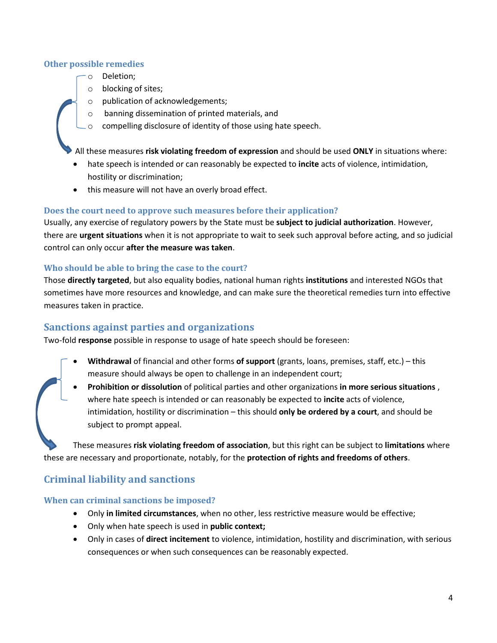#### <span id="page-3-0"></span>**Other possible remedies**

- o Deletion;
- o blocking of sites;
- o publication of acknowledgements;
- o banning dissemination of printed materials, and
- o compelling disclosure of identity of those using hate speech.

All these measures **risk violating freedom of expression** and should be used **ONLY** in situations where:

- hate speech is intended or can reasonably be expected to **incite** acts of violence, intimidation, hostility or discrimination;
- this measure will not have an overly broad effect.

#### <span id="page-3-1"></span>**Does the court need to approve such measures before their application?**

Usually, any exercise of regulatory powers by the State must be **subject to judicial authorization**. However, there are **urgent situations** when it is not appropriate to wait to seek such approval before acting, and so judicial control can only occur **after the measure was taken**.

#### <span id="page-3-2"></span>**Who should be able to bring the case to the court?**

Those **directly targeted**, but also equality bodies, national human rights **institutions** and interested NGOs that sometimes have more resources and knowledge, and can make sure the theoretical remedies turn into effective measures taken in practice.

## <span id="page-3-3"></span>**Sanctions against parties and organizations**

Two-fold **response** possible in response to usage of hate speech should be foreseen:

- **Withdrawal** of financial and other forms **of support** (grants, loans, premises, staff, etc.) this measure should always be open to challenge in an independent court;
- **Prohibition or dissolution** of political parties and other organizations **in more serious situations** , where hate speech is intended or can reasonably be expected to **incite** acts of violence, intimidation, hostility or discrimination – this should **only be ordered by a court**, and should be subject to prompt appeal.

These measures **risk violating freedom of association**, but this right can be subject to **limitations** where these are necessary and proportionate, notably, for the **protection of rights and freedoms of others**.

## <span id="page-3-4"></span>**Criminal liability and sanctions**

#### <span id="page-3-5"></span>**When can criminal sanctions be imposed?**

- Only **in limited circumstances**, when no other, less restrictive measure would be effective;
- Only when hate speech is used in **public context;**
- Only in cases of **direct incitement** to violence, intimidation, hostility and discrimination, with serious consequences or when such consequences can be reasonably expected.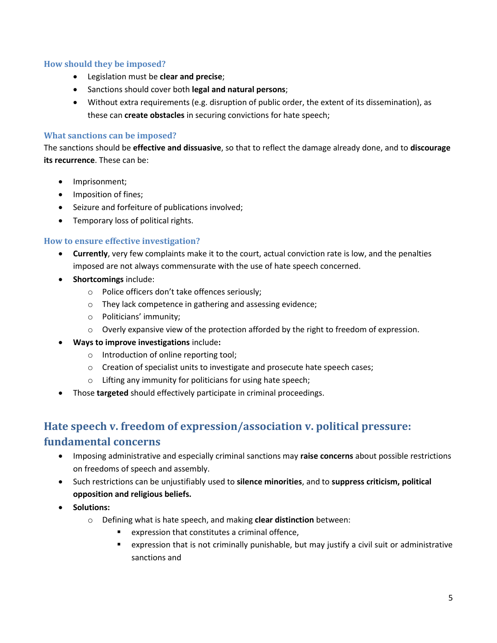#### <span id="page-4-0"></span>**How should they be imposed?**

- Legislation must be **clear and precise**;
- Sanctions should cover both **legal and natural persons**;
- Without extra requirements (e.g. disruption of public order, the extent of its dissemination), as these can **create obstacles** in securing convictions for hate speech;

#### <span id="page-4-1"></span>**What sanctions can be imposed?**

The sanctions should be **effective and dissuasive**, so that to reflect the damage already done, and to **discourage its recurrence**. These can be:

- Imprisonment;
- Imposition of fines;
- Seizure and forfeiture of publications involved;
- Temporary loss of political rights.

#### <span id="page-4-2"></span>**How to ensure effective investigation?**

- **Currently**, very few complaints make it to the court, actual conviction rate is low, and the penalties imposed are not always commensurate with the use of hate speech concerned.
- **Shortcomings** include:
	- o Police officers don't take offences seriously;
	- o They lack competence in gathering and assessing evidence;
	- o Politicians' immunity;
	- $\circ$  Overly expansive view of the protection afforded by the right to freedom of expression.
- **Ways to improve investigations** include**:**
	- o Introduction of online reporting tool;
	- o Creation of specialist units to investigate and prosecute hate speech cases;
	- o Lifting any immunity for politicians for using hate speech;
- Those **targeted** should effectively participate in criminal proceedings.

## <span id="page-4-3"></span>**Hate speech v. freedom of expression/association v. political pressure:**

### **fundamental concerns**

- Imposing administrative and especially criminal sanctions may **raise concerns** about possible restrictions on freedoms of speech and assembly.
- Such restrictions can be unjustifiably used to **silence minorities**, and to **suppress criticism, political opposition and religious beliefs.**
- **•** Solutions:
	- o Defining what is hate speech, and making **clear distinction** between:
		- expression that constitutes a criminal offence,
		- expression that is not criminally punishable, but may justify a civil suit or administrative sanctions and